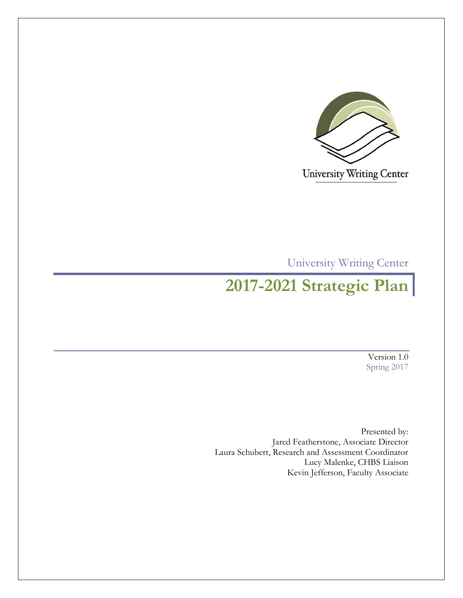

University Writing Center

University Writing Center

# **2017-2021 Strategic Plan**

Version 1.0 Spring 2017

Presented by: Jared Featherstone, Associate Director Laura Schubert, Research and Assessment Coordinator Lucy Malenke, CHBS Liaison Kevin Jefferson, Faculty Associate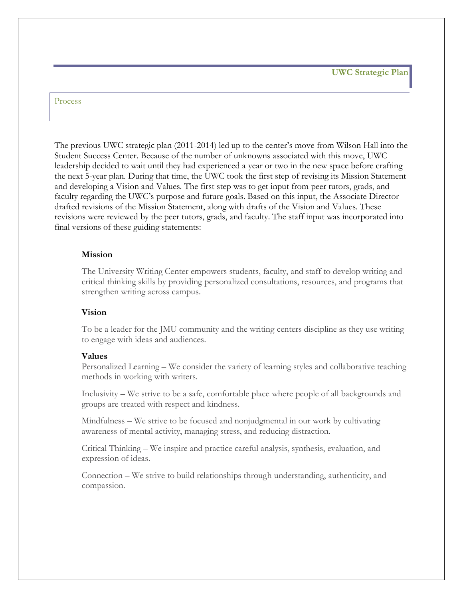**UWC Strategic Plan**

#### Process

The previous UWC strategic plan (2011-2014) led up to the center's move from Wilson Hall into the Student Success Center. Because of the number of unknowns associated with this move, UWC leadership decided to wait until they had experienced a year or two in the new space before crafting the next 5-year plan. During that time, the UWC took the first step of revising its Mission Statement and developing a Vision and Values. The first step was to get input from peer tutors, grads, and faculty regarding the UWC's purpose and future goals. Based on this input, the Associate Director drafted revisions of the Mission Statement, along with drafts of the Vision and Values. These revisions were reviewed by the peer tutors, grads, and faculty. The staff input was incorporated into final versions of these guiding statements:

#### **Mission**

The University Writing Center empowers students, faculty, and staff to develop writing and critical thinking skills by providing personalized consultations, resources, and programs that strengthen writing across campus.

#### **Vision**

To be a leader for the JMU community and the writing centers discipline as they use writing to engage with ideas and audiences.

#### **Values**

Personalized Learning – We consider the variety of learning styles and collaborative teaching methods in working with writers.

Inclusivity – We strive to be a safe, comfortable place where people of all backgrounds and groups are treated with respect and kindness.

Mindfulness – We strive to be focused and nonjudgmental in our work by cultivating awareness of mental activity, managing stress, and reducing distraction.

Critical Thinking – We inspire and practice careful analysis, synthesis, evaluation, and expression of ideas.

Connection – We strive to build relationships through understanding, authenticity, and compassion.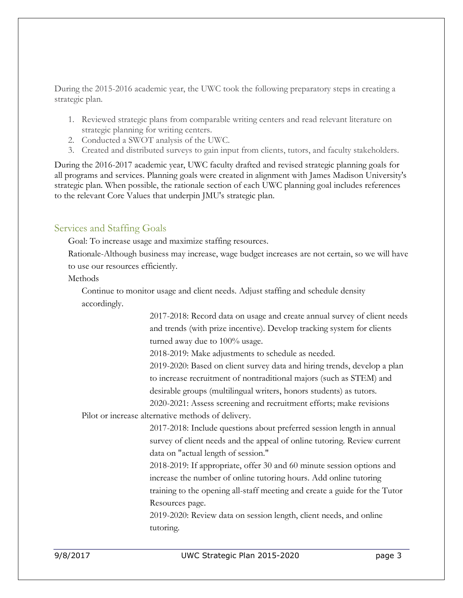During the 2015-2016 academic year, the UWC took the following preparatory steps in creating a strategic plan.

- 1. Reviewed strategic plans from comparable writing centers and read relevant literature on strategic planning for writing centers.
- 2. Conducted a SWOT analysis of the UWC.
- 3. Created and distributed surveys to gain input from clients, tutors, and faculty stakeholders.

During the 2016-2017 academic year, UWC faculty drafted and revised strategic planning goals for all programs and services. Planning goals were created in alignment with James Madison University's strategic plan. When possible, the rationale section of each UWC planning goal includes references to the relevant Core Values that underpin JMU's strategic plan.

# Services and Staffing Goals

Goal: To increase usage and maximize staffing resources.

Rationale-Although business may increase, wage budget increases are not certain, so we will have to use our resources efficiently.

#### Methods

Continue to monitor usage and client needs. Adjust staffing and schedule density accordingly.

> 2017-2018: Record data on usage and create annual survey of client needs and trends (with prize incentive). Develop tracking system for clients turned away due to 100% usage.

2018-2019: Make adjustments to schedule as needed.

2019-2020: Based on client survey data and hiring trends, develop a plan to increase recruitment of nontraditional majors (such as STEM) and desirable groups (multilingual writers, honors students) as tutors.

2020-2021: Assess screening and recruitment efforts; make revisions Pilot or increase alternative methods of delivery.

> 2017-2018: Include questions about preferred session length in annual survey of client needs and the appeal of online tutoring. Review current data on "actual length of session."

2018-2019: If appropriate, offer 30 and 60 minute session options and increase the number of online tutoring hours. Add online tutoring training to the opening all-staff meeting and create a guide for the Tutor Resources page.

2019-2020: Review data on session length, client needs, and online tutoring.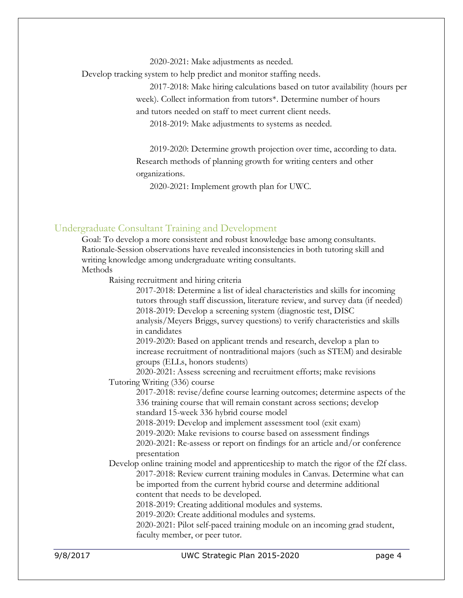2020-2021: Make adjustments as needed.

Develop tracking system to help predict and monitor staffing needs.

2017-2018: Make hiring calculations based on tutor availability (hours per week). Collect information from tutors\*. Determine number of hours

and tutors needed on staff to meet current client needs.

2018-2019: Make adjustments to systems as needed.

2019-2020: Determine growth projection over time, according to data. Research methods of planning growth for writing centers and other organizations.

2020-2021: Implement growth plan for UWC.

#### Undergraduate Consultant Training and Development

Goal: To develop a more consistent and robust knowledge base among consultants. Rationale-Session observations have revealed inconsistencies in both tutoring skill and writing knowledge among undergraduate writing consultants. **Methods** 

Raising recruitment and hiring criteria

|          | 2017-2018: Determine a list of ideal characteristics and skills for incoming                                                                                                         |
|----------|--------------------------------------------------------------------------------------------------------------------------------------------------------------------------------------|
|          | tutors through staff discussion, literature review, and survey data (if needed)                                                                                                      |
|          | 2018-2019: Develop a screening system (diagnostic test, DISC                                                                                                                         |
|          | analysis/Meyers Briggs, survey questions) to verify characteristics and skills<br>in candidates                                                                                      |
|          | 2019-2020: Based on applicant trends and research, develop a plan to<br>increase recruitment of nontraditional majors (such as STEM) and desirable<br>groups (ELLs, honors students) |
|          | 2020-2021: Assess screening and recruitment efforts; make revisions                                                                                                                  |
|          | Tutoring Writing (336) course                                                                                                                                                        |
|          | 2017-2018: revise/define course learning outcomes; determine aspects of the                                                                                                          |
|          | 336 training course that will remain constant across sections; develop                                                                                                               |
|          | standard 15-week 336 hybrid course model                                                                                                                                             |
|          | 2018-2019: Develop and implement assessment tool (exit exam)                                                                                                                         |
|          | 2019-2020: Make revisions to course based on assessment findings                                                                                                                     |
|          | 2020-2021: Re-assess or report on findings for an article and/or conference<br>presentation                                                                                          |
|          | Develop online training model and apprenticeship to match the rigor of the f2f class.                                                                                                |
|          | 2017-2018: Review current training modules in Canvas. Determine what can                                                                                                             |
|          | be imported from the current hybrid course and determine additional                                                                                                                  |
|          | content that needs to be developed.                                                                                                                                                  |
|          | 2018-2019: Creating additional modules and systems.                                                                                                                                  |
|          | 2019-2020: Create additional modules and systems.                                                                                                                                    |
|          | 2020-2021: Pilot self-paced training module on an incoming grad student,                                                                                                             |
|          | faculty member, or peer tutor.                                                                                                                                                       |
| 9/8/2017 | UWC Strategic Plan 2015-2020<br>page 4                                                                                                                                               |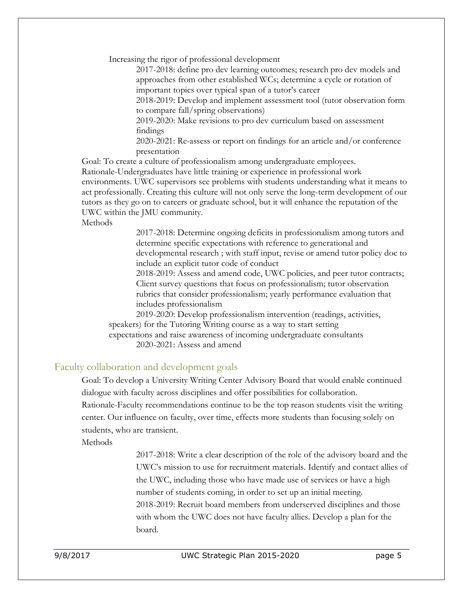Increasing the rigor of professional development

2017-2018: define pro dev learning outcomes; research pro dev models and approaches from other established WCs; determine a cycle or rotation of important topics over typical span of a tutor's career 2018-2019: Develop and implement assessment tool (tutor observation form

to compare fall/spring observations)

2019-2020: Make revisions to pro dev curriculum based on assessment findings

2020-2021: Re-assess or report on findings for an article and/or conference presentation

Goal: To create a culture of professionalism among undergraduate employees.

Rationale-Undergraduates have little training or experience in professional work environments. UWC supervisors see problems with students understanding what it means to act professionally. Creating this culture will not only serve the long-term development of our tutors as they go on to careers or graduate school, but it will enhance the reputation of the

UWC within the JMU community.

Methods

2017-2018: Determine ongoing deficits in professionalism among tutors and determine specific expectations with reference to generational and developmental research ; with staff input, revise or amend tutor policy doc to include an explicit tutor code of conduct

2018-2019: Assess and amend code, UWC policies, and peer tutor contracts; Client survey questions that focus on professionalism; tutor observation rubrics that consider professionalism; yearly performance evaluation that includes professionalism

2019-2020: Develop professionalism intervention (readings, activities, speakers) for the Tutoring Writing course as a way to start setting expectations and raise awareness of incoming undergraduate consultants 2020-2021: Assess and amend

## Faculty collaboration and development goals

Goal: To develop a University Writing Center Advisory Board that would enable continued dialogue with faculty across disciplines and offer possibilities for collaboration. Rationale-Faculty recommendations continue to be the top reason students visit the writing center. Our influence on faculty, over time, effects more students than focusing solely on students, who are transient.

Methods

2017-2018: Write a clear description of the role of the advisory board and the UWC's mission to use for recruitment materials. Identify and contact allies of the UWC, including those who have made use of services or have a high number of students coming, in order to set up an initial meeting. 2018-2019: Recruit board members from underserved disciplines and those with whom the UWC does not have faculty allies. Develop a plan for the board.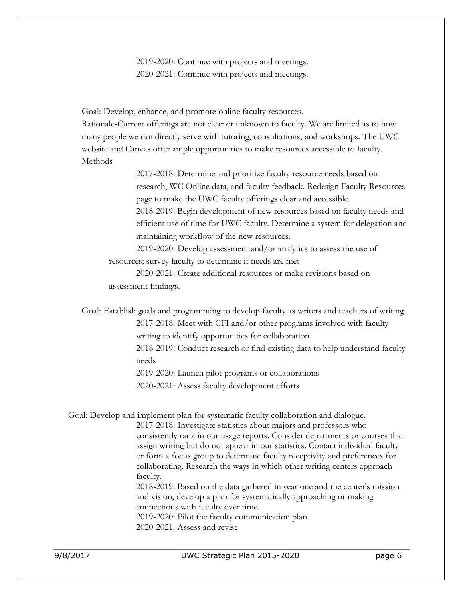2019-2020: Continue with projects and meetings. 2020-2021: Continue with projects and meetings.

Goal: Develop, enhance, and promote online faculty resources.

Rationale-Current offerings are not clear or unknown to faculty. We are limited as to how many people we can directly serve with tutoring, consultations, and workshops. The UWC website and Canvas offer ample opportunities to make resources accessible to faculty. Methods

> 2017-2018: Determine and prioritize faculty resource needs based on research, WC Online data, and faculty feedback. Redesign Faculty Resources page to make the UWC faculty offerings clear and accessible. 2018-2019: Begin development of new resources based on faculty needs and

> efficient use of time for UWC faculty. Determine a system for delegation and maintaining workflow of the new resources.

2019-2020: Develop assessment and/or analytics to assess the use of resources; survey faculty to determine if needs are met

2020-2021: Create additional resources or make revisions based on assessment findings.

Goal: Establish goals and programming to develop faculty as writers and teachers of writing 2017-2018: Meet with CFI and/or other programs involved with faculty writing to identify opportunities for collaboration

> 2018-2019: Conduct research or find existing data to help understand faculty needs

2019-2020: Launch pilot programs or collaborations

2020-2021: Assess faculty development efforts

Goal: Develop and implement plan for systematic faculty collaboration and dialogue. 2017-2018: Investigate statistics about majors and professors who consistently rank in our usage reports. Consider departments or courses that assign writing but do not appear in our statistics. Contact individual faculty or form a focus group to determine faculty receptivity and preferences for collaborating. Research the ways in which other writing centers approach faculty.

2018-2019: Based on the data gathered in year one and the center's mission and vision, develop a plan for systematically approaching or making connections with faculty over time.

2019-2020: Pilot the faculty communication plan.

2020-2021: Assess and revise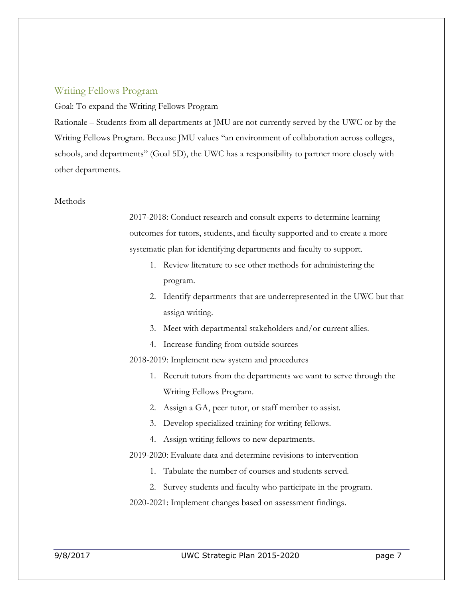## Writing Fellows Program

Goal: To expand the Writing Fellows Program

Rationale – Students from all departments at JMU are not currently served by the UWC or by the Writing Fellows Program. Because JMU values "an environment of collaboration across colleges, schools, and departments" (Goal 5D), the UWC has a responsibility to partner more closely with other departments.

#### **Methods**

2017-2018: Conduct research and consult experts to determine learning outcomes for tutors, students, and faculty supported and to create a more systematic plan for identifying departments and faculty to support.

- 1. Review literature to see other methods for administering the program.
- 2. Identify departments that are underrepresented in the UWC but that assign writing.
- 3. Meet with departmental stakeholders and/or current allies.
- 4. Increase funding from outside sources
- 2018-2019: Implement new system and procedures
	- 1. Recruit tutors from the departments we want to serve through the Writing Fellows Program.
	- 2. Assign a GA, peer tutor, or staff member to assist.
	- 3. Develop specialized training for writing fellows.
	- 4. Assign writing fellows to new departments.
- 2019-2020: Evaluate data and determine revisions to intervention
	- 1. Tabulate the number of courses and students served.
	- 2. Survey students and faculty who participate in the program.
- 2020-2021: Implement changes based on assessment findings.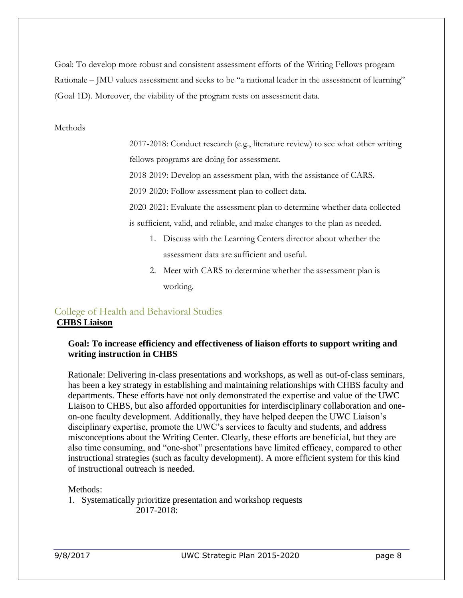Goal: To develop more robust and consistent assessment efforts of the Writing Fellows program Rationale – JMU values assessment and seeks to be "a national leader in the assessment of learning" (Goal 1D). Moreover, the viability of the program rests on assessment data.

#### **Methods**

2017-2018: Conduct research (e.g., literature review) to see what other writing fellows programs are doing for assessment.

2018-2019: Develop an assessment plan, with the assistance of CARS.

2019-2020: Follow assessment plan to collect data.

2020-2021: Evaluate the assessment plan to determine whether data collected is sufficient, valid, and reliable, and make changes to the plan as needed.

- 1. Discuss with the Learning Centers director about whether the assessment data are sufficient and useful.
- 2. Meet with CARS to determine whether the assessment plan is working.

# College of Health and Behavioral Studies **CHBS Liaison**

## **Goal: To increase efficiency and effectiveness of liaison efforts to support writing and writing instruction in CHBS**

Rationale: Delivering in-class presentations and workshops, as well as out-of-class seminars, has been a key strategy in establishing and maintaining relationships with CHBS faculty and departments. These efforts have not only demonstrated the expertise and value of the UWC Liaison to CHBS, but also afforded opportunities for interdisciplinary collaboration and oneon-one faculty development. Additionally, they have helped deepen the UWC Liaison's disciplinary expertise, promote the UWC's services to faculty and students, and address misconceptions about the Writing Center. Clearly, these efforts are beneficial, but they are also time consuming, and "one-shot" presentations have limited efficacy, compared to other instructional strategies (such as faculty development). A more efficient system for this kind of instructional outreach is needed.

#### Methods:

1. Systematically prioritize presentation and workshop requests 2017-2018: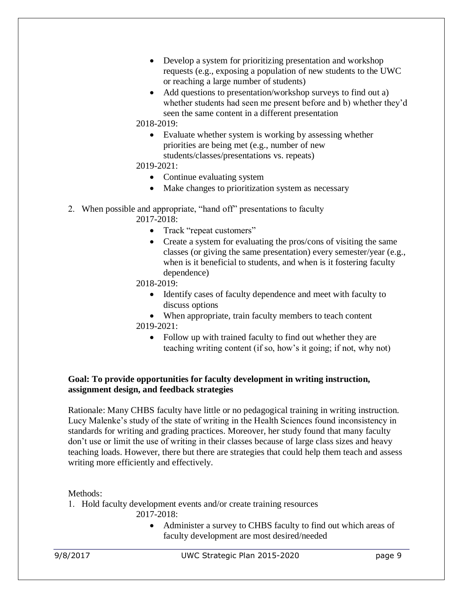- Develop a system for prioritizing presentation and workshop requests (e.g., exposing a population of new students to the UWC or reaching a large number of students)
- Add questions to presentation/workshop surveys to find out a) whether students had seen me present before and b) whether they'd seen the same content in a different presentation

## 2018-2019:

• Evaluate whether system is working by assessing whether priorities are being met (e.g., number of new students/classes/presentations vs. repeats)

## 2019-2021:

- Continue evaluating system
- Make changes to prioritization system as necessary
- 2. When possible and appropriate, "hand off" presentations to faculty

2017-2018:

- Track "repeat customers"
- Create a system for evaluating the pros/cons of visiting the same classes (or giving the same presentation) every semester/year (e.g., when is it beneficial to students, and when is it fostering faculty dependence)
- 2018-2019:
	- Identify cases of faculty dependence and meet with faculty to discuss options

• When appropriate, train faculty members to teach content 2019-2021:

• Follow up with trained faculty to find out whether they are teaching writing content (if so, how's it going; if not, why not)

## **Goal: To provide opportunities for faculty development in writing instruction, assignment design, and feedback strategies**

Rationale: Many CHBS faculty have little or no pedagogical training in writing instruction. Lucy Malenke's study of the state of writing in the Health Sciences found inconsistency in standards for writing and grading practices. Moreover, her study found that many faculty don't use or limit the use of writing in their classes because of large class sizes and heavy teaching loads. However, there but there are strategies that could help them teach and assess writing more efficiently and effectively.

Methods:

1. Hold faculty development events and/or create training resources

2017-2018:

Administer a survey to CHBS faculty to find out which areas of faculty development are most desired/needed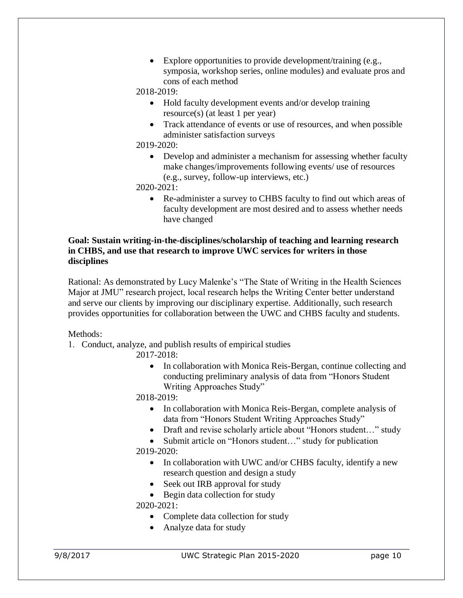• Explore opportunities to provide development/training (e.g., symposia, workshop series, online modules) and evaluate pros and cons of each method

2018-2019:

- Hold faculty development events and/or develop training resource(s) (at least 1 per year)
- Track attendance of events or use of resources, and when possible administer satisfaction surveys

2019-2020:

• Develop and administer a mechanism for assessing whether faculty make changes/improvements following events/ use of resources (e.g., survey, follow-up interviews, etc.)

2020-2021:

• Re-administer a survey to CHBS faculty to find out which areas of faculty development are most desired and to assess whether needs have changed

## **Goal: Sustain writing-in-the-disciplines/scholarship of teaching and learning research in CHBS, and use that research to improve UWC services for writers in those disciplines**

Rational: As demonstrated by Lucy Malenke's "The State of Writing in the Health Sciences Major at JMU" research project, local research helps the Writing Center better understand and serve our clients by improving our disciplinary expertise. Additionally, such research provides opportunities for collaboration between the UWC and CHBS faculty and students.

#### Methods:

1. Conduct, analyze, and publish results of empirical studies

2017-2018:

• In collaboration with Monica Reis-Bergan, continue collecting and conducting preliminary analysis of data from "Honors Student Writing Approaches Study"

2018-2019:

- In collaboration with Monica Reis-Bergan, complete analysis of data from "Honors Student Writing Approaches Study"
- Draft and revise scholarly article about "Honors student..." study
- Submit article on "Honors student..." study for publication 2019-2020:
	- In collaboration with UWC and/or CHBS faculty, identify a new research question and design a study
	- Seek out IRB approval for study
	- Begin data collection for study

2020-2021:

- Complete data collection for study
- Analyze data for study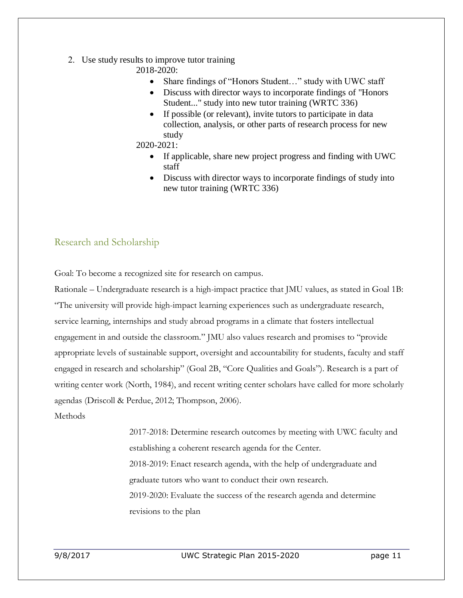- 2. Use study results to improve tutor training
	- 2018-2020:
		- Share findings of "Honors Student..." study with UWC staff
		- Discuss with director ways to incorporate findings of "Honors Student..." study into new tutor training (WRTC 336)
		- If possible (or relevant), invite tutors to participate in data collection, analysis, or other parts of research process for new study
	- 2020-2021:
		- If applicable, share new project progress and finding with UWC staff
		- Discuss with director ways to incorporate findings of study into new tutor training (WRTC 336)

# Research and Scholarship

Goal: To become a recognized site for research on campus.

Rationale – Undergraduate research is a high-impact practice that JMU values, as stated in Goal 1B: "The university will provide high-impact learning experiences such as undergraduate research, service learning, internships and study abroad programs in a climate that fosters intellectual engagement in and outside the classroom." JMU also values research and promises to "provide appropriate levels of sustainable support, oversight and accountability for students, faculty and staff engaged in research and scholarship" (Goal 2B, "Core Qualities and Goals"). Research is a part of writing center work (North, 1984), and recent writing center scholars have called for more scholarly agendas (Driscoll & Perdue, 2012; Thompson, 2006).

Methods

2017-2018: Determine research outcomes by meeting with UWC faculty and establishing a coherent research agenda for the Center. 2018-2019: Enact research agenda, with the help of undergraduate and graduate tutors who want to conduct their own research. 2019-2020: Evaluate the success of the research agenda and determine revisions to the plan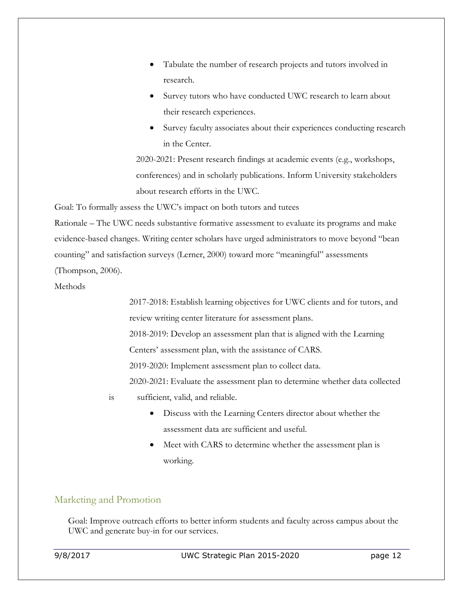- Tabulate the number of research projects and tutors involved in research.
- Survey tutors who have conducted UWC research to learn about their research experiences.
- Survey faculty associates about their experiences conducting research in the Center.

2020-2021: Present research findings at academic events (e.g., workshops, conferences) and in scholarly publications. Inform University stakeholders about research efforts in the UWC.

Goal: To formally assess the UWC's impact on both tutors and tutees

Rationale – The UWC needs substantive formative assessment to evaluate its programs and make evidence-based changes. Writing center scholars have urged administrators to move beyond "bean counting" and satisfaction surveys (Lerner, 2000) toward more "meaningful" assessments (Thompson, 2006).

**Methods** 

2017-2018: Establish learning objectives for UWC clients and for tutors, and review writing center literature for assessment plans.

2018-2019: Develop an assessment plan that is aligned with the Learning

Centers' assessment plan, with the assistance of CARS.

2019-2020: Implement assessment plan to collect data.

2020-2021: Evaluate the assessment plan to determine whether data collected

is sufficient, valid, and reliable.

- Discuss with the Learning Centers director about whether the assessment data are sufficient and useful.
- Meet with CARS to determine whether the assessment plan is working.

# Marketing and Promotion

Goal: Improve outreach efforts to better inform students and faculty across campus about the UWC and generate buy-in for our services.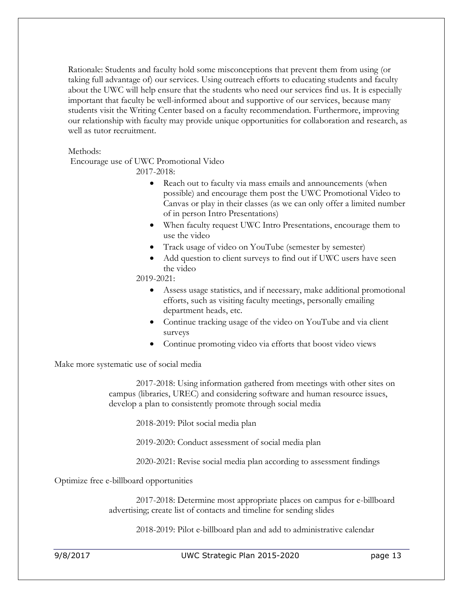Rationale: Students and faculty hold some misconceptions that prevent them from using (or taking full advantage of) our services. Using outreach efforts to educating students and faculty about the UWC will help ensure that the students who need our services find us. It is especially important that faculty be well-informed about and supportive of our services, because many students visit the Writing Center based on a faculty recommendation. Furthermore, improving our relationship with faculty may provide unique opportunities for collaboration and research, as well as tutor recruitment.

#### Methods:

Encourage use of UWC Promotional Video

2017-2018:

- Reach out to faculty via mass emails and announcements (when possible) and encourage them post the UWC Promotional Video to Canvas or play in their classes (as we can only offer a limited number of in person Intro Presentations)
- When faculty request UWC Intro Presentations, encourage them to use the video
- Track usage of video on YouTube (semester by semester)
- Add question to client surveys to find out if UWC users have seen the video

2019-2021:

- Assess usage statistics, and if necessary, make additional promotional efforts, such as visiting faculty meetings, personally emailing department heads, etc.
- Continue tracking usage of the video on YouTube and via client surveys
- Continue promoting video via efforts that boost video views

Make more systematic use of social media

2017-2018: Using information gathered from meetings with other sites on campus (libraries, UREC) and considering software and human resource issues, develop a plan to consistently promote through social media

2018-2019: Pilot social media plan

2019-2020: Conduct assessment of social media plan

2020-2021: Revise social media plan according to assessment findings

Optimize free e-billboard opportunities

2017-2018: Determine most appropriate places on campus for e-billboard advertising; create list of contacts and timeline for sending slides

2018-2019: Pilot e-billboard plan and add to administrative calendar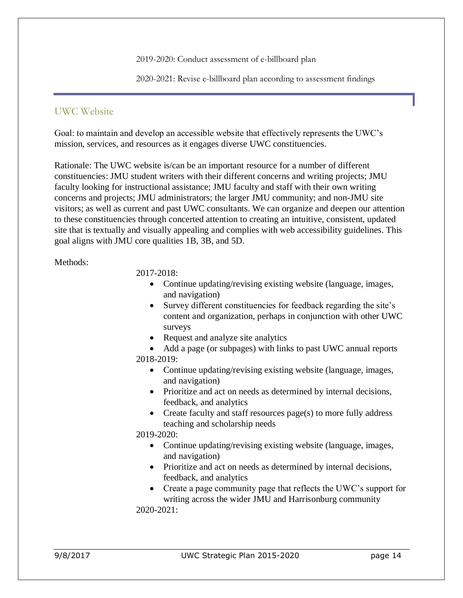2019-2020: Conduct assessment of e-billboard plan

2020-2021: Revise e-billboard plan according to assessment findings

# UWC Website

Goal: to maintain and develop an accessible website that effectively represents the UWC's mission, services, and resources as it engages diverse UWC constituencies.

Rationale: The UWC website is/can be an important resource for a number of different constituencies: JMU student writers with their different concerns and writing projects; JMU faculty looking for instructional assistance; JMU faculty and staff with their own writing concerns and projects; JMU administrators; the larger JMU community; and non-JMU site visitors; as well as current and past UWC consultants. We can organize and deepen our attention to these constituencies through concerted attention to creating an intuitive, consistent, updated site that is textually and visually appealing and complies with web accessibility guidelines. This goal aligns with JMU core qualities 1B, 3B, and 5D.

#### Methods:

2017-2018:

- Continue updating/revising existing website (language, images, and navigation)
- Survey different constituencies for feedback regarding the site's content and organization, perhaps in conjunction with other UWC surveys
- Request and analyze site analytics
- Add a page (or subpages) with links to past UWC annual reports 2018-2019:
	- Continue updating/revising existing website (language, images, and navigation)
	- Prioritize and act on needs as determined by internal decisions, feedback, and analytics
	- Create faculty and staff resources page(s) to more fully address teaching and scholarship needs

2019-2020:

- Continue updating/revising existing website (language, images, and navigation)
- Prioritize and act on needs as determined by internal decisions, feedback, and analytics
- Create a page community page that reflects the UWC's support for writing across the wider JMU and Harrisonburg community

2020-2021: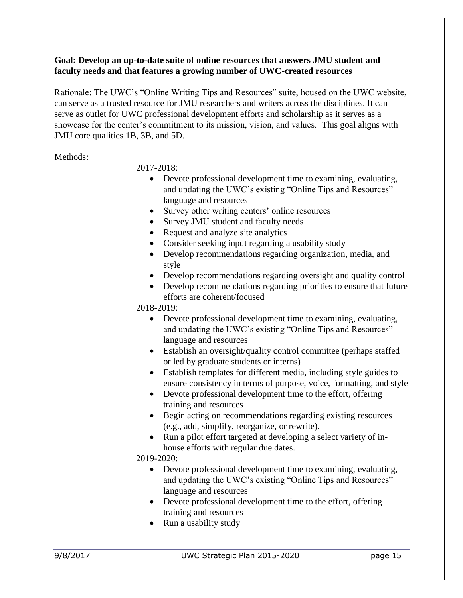## **Goal: Develop an up-to-date suite of online resources that answers JMU student and faculty needs and that features a growing number of UWC-created resources**

Rationale: The UWC's "Online Writing Tips and Resources" suite, housed on the UWC website, can serve as a trusted resource for JMU researchers and writers across the disciplines. It can serve as outlet for UWC professional development efforts and scholarship as it serves as a showcase for the center's commitment to its mission, vision, and values. This goal aligns with JMU core qualities 1B, 3B, and 5D.

Methods:

2017-2018:

- Devote professional development time to examining, evaluating, and updating the UWC's existing "Online Tips and Resources" language and resources
- Survey other writing centers' online resources
- Survey JMU student and faculty needs
- Request and analyze site analytics
- Consider seeking input regarding a usability study
- Develop recommendations regarding organization, media, and style
- Develop recommendations regarding oversight and quality control
- Develop recommendations regarding priorities to ensure that future efforts are coherent/focused

2018-2019:

- Devote professional development time to examining, evaluating, and updating the UWC's existing "Online Tips and Resources" language and resources
- Establish an oversight/quality control committee (perhaps staffed or led by graduate students or interns)
- Establish templates for different media, including style guides to ensure consistency in terms of purpose, voice, formatting, and style
- Devote professional development time to the effort, offering training and resources
- Begin acting on recommendations regarding existing resources (e.g., add, simplify, reorganize, or rewrite).
- Run a pilot effort targeted at developing a select variety of inhouse efforts with regular due dates.

2019-2020:

- Devote professional development time to examining, evaluating, and updating the UWC's existing "Online Tips and Resources" language and resources
- Devote professional development time to the effort, offering training and resources
- Run a usability study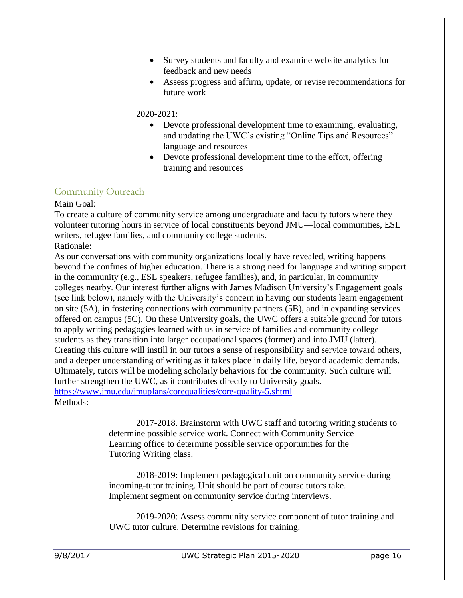- Survey students and faculty and examine website analytics for feedback and new needs
- Assess progress and affirm, update, or revise recommendations for future work

#### 2020-2021:

- Devote professional development time to examining, evaluating, and updating the UWC's existing "Online Tips and Resources" language and resources
- Devote professional development time to the effort, offering training and resources

# Community Outreach

Main Goal:

To create a culture of community service among undergraduate and faculty tutors where they volunteer tutoring hours in service of local constituents beyond JMU—local communities, ESL writers, refugee families, and community college students. Rationale:

As our conversations with community organizations locally have revealed, writing happens beyond the confines of higher education. There is a strong need for language and writing support in the community (e.g., ESL speakers, refugee families), and, in particular, in community colleges nearby. Our interest further aligns with James Madison University's Engagement goals (see link below), namely with the University's concern in having our students learn engagement on site (5A), in fostering connections with community partners (5B), and in expanding services offered on campus (5C). On these University goals, the UWC offers a suitable ground for tutors to apply writing pedagogies learned with us in service of families and community college students as they transition into larger occupational spaces (former) and into JMU (latter). Creating this culture will instill in our tutors a sense of responsibility and service toward others, and a deeper understanding of writing as it takes place in daily life, beyond academic demands. Ultimately, tutors will be modeling scholarly behaviors for the community. Such culture will further strengthen the UWC, as it contributes directly to University goals. <https://www.jmu.edu/jmuplans/corequalities/core-quality-5.shtml> Methods:

> 2017-2018. Brainstorm with UWC staff and tutoring writing students to determine possible service work. Connect with Community Service Learning office to determine possible service opportunities for the Tutoring Writing class.

2018-2019: Implement pedagogical unit on community service during incoming-tutor training. Unit should be part of course tutors take. Implement segment on community service during interviews.

2019-2020: Assess community service component of tutor training and UWC tutor culture. Determine revisions for training.